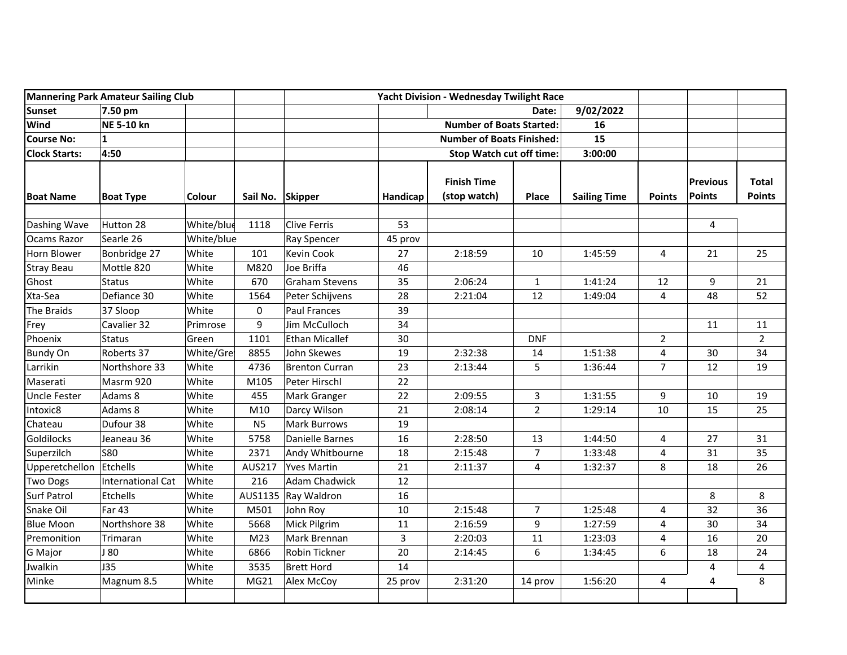| <b>Mannering Park Amateur Sailing Club</b> |                          |               | Yacht Division - Wednesday Twilight Race |                       |                                  |                                    |                |                     |                |                           |                               |
|--------------------------------------------|--------------------------|---------------|------------------------------------------|-----------------------|----------------------------------|------------------------------------|----------------|---------------------|----------------|---------------------------|-------------------------------|
| <b>Sunset</b>                              | 7.50 pm                  |               |                                          |                       |                                  | Date:                              |                | 9/02/2022           |                |                           |                               |
| Wind                                       | <b>NE 5-10 kn</b>        |               |                                          |                       |                                  | <b>Number of Boats Started:</b>    |                | 16                  |                |                           |                               |
| <b>Course No:</b>                          | $\mathbf{1}$             |               |                                          |                       | <b>Number of Boats Finished:</b> |                                    | 15             |                     |                |                           |                               |
| <b>Clock Starts:</b>                       | 4:50                     |               |                                          |                       |                                  | <b>Stop Watch cut off time:</b>    |                | 3:00:00             |                |                           |                               |
| <b>Boat Name</b>                           | <b>Boat Type</b>         | <b>Colour</b> | Sail No. Skipper                         |                       | Handicap                         | <b>Finish Time</b><br>(stop watch) | Place          | <b>Sailing Time</b> | <b>Points</b>  | <b>Previous</b><br>Points | <b>Total</b><br><b>Points</b> |
| Dashing Wave                               | Hutton 28                | White/blue    | 1118                                     | <b>Clive Ferris</b>   | 53                               |                                    |                |                     |                | 4                         |                               |
| Ocams Razor                                | Searle 26                | White/blue    |                                          | <b>Ray Spencer</b>    | 45 prov                          |                                    |                |                     |                |                           |                               |
| Horn Blower                                | Bonbridge 27             | White         | 101                                      | <b>Kevin Cook</b>     | 27                               | 2:18:59                            | 10             | 1:45:59             | 4              | 21                        | 25                            |
| <b>Stray Beau</b>                          | Mottle 820               | White         | M820                                     | Joe Briffa            | 46                               |                                    |                |                     |                |                           |                               |
| Ghost                                      | <b>Status</b>            | White         | 670                                      | <b>Graham Stevens</b> | 35                               | 2:06:24                            | $\mathbf{1}$   | 1:41:24             | 12             | 9                         | 21                            |
| Xta-Sea                                    | Defiance 30              | White         | 1564                                     | Peter Schijvens       | 28                               | 2:21:04                            | 12             | 1:49:04             | 4              | 48                        | 52                            |
| The Braids                                 | 37 Sloop                 | White         | 0                                        | <b>Paul Frances</b>   | 39                               |                                    |                |                     |                |                           |                               |
| Frey                                       | Cavalier 32              | Primrose      | 9                                        | Jim McCulloch         | 34                               |                                    |                |                     |                | 11                        | 11                            |
| Phoenix                                    | <b>Status</b>            | Green         | 1101                                     | <b>Ethan Micallef</b> | 30                               |                                    | <b>DNF</b>     |                     | $\overline{2}$ |                           | $\overline{2}$                |
| <b>Bundy On</b>                            | Roberts 37               | White/Gre     | 8855                                     | John Skewes           | 19                               | 2:32:38                            | 14             | 1:51:38             | 4              | 30                        | 34                            |
| Larrikin                                   | Northshore 33            | White         | 4736                                     | <b>Brenton Curran</b> | 23                               | 2:13:44                            | 5              | 1:36:44             | $\overline{7}$ | 12                        | 19                            |
| Maserati                                   | Masrm 920                | White         | M105                                     | Peter Hirschl         | 22                               |                                    |                |                     |                |                           |                               |
| <b>Uncle Fester</b>                        | Adams 8                  | White         | 455                                      | Mark Granger          | 22                               | 2:09:55                            | $\mathbf{3}$   | 1:31:55             | 9              | 10                        | 19                            |
| Intoxic8                                   | Adams 8                  | White         | M10                                      | Darcy Wilson          | 21                               | 2:08:14                            | $\overline{2}$ | 1:29:14             | 10             | 15                        | 25                            |
| Chateau                                    | Dufour 38                | White         | N <sub>5</sub>                           | <b>Mark Burrows</b>   | 19                               |                                    |                |                     |                |                           |                               |
| <b>Goldilocks</b>                          | Jeaneau 36               | White         | 5758                                     | Danielle Barnes       | 16                               | 2:28:50                            | 13             | 1:44:50             | 4              | 27                        | 31                            |
| Superzilch                                 | <b>S80</b>               | White         | 2371                                     | Andy Whitbourne       | 18                               | 2:15:48                            | $\overline{7}$ | 1:33:48             | 4              | 31                        | 35                            |
| Upperetchellon                             | Etchells                 | White         | AUS217                                   | <b>Yves Martin</b>    | 21                               | 2:11:37                            | 4              | 1:32:37             | 8              | 18                        | 26                            |
| <b>Two Dogs</b>                            | <b>International Cat</b> | White         | 216                                      | <b>Adam Chadwick</b>  | 12                               |                                    |                |                     |                |                           |                               |
| <b>Surf Patrol</b>                         | Etchells                 | White         | AUS1135                                  | Ray Waldron           | 16                               |                                    |                |                     |                | 8                         | 8                             |
| Snake Oil                                  | <b>Far 43</b>            | White         | M501                                     | John Roy              | 10                               | 2:15:48                            | $\overline{7}$ | 1:25:48             | 4              | 32                        | 36                            |
| <b>Blue Moon</b>                           | Northshore 38            | White         | 5668                                     | Mick Pilgrim          | 11                               | 2:16:59                            | 9              | 1:27:59             | 4              | 30                        | 34                            |
| Premonition                                | Trimaran                 | White         | M <sub>23</sub>                          | Mark Brennan          | 3                                | 2:20:03                            | 11             | 1:23:03             | 4              | 16                        | 20                            |
| G Major                                    | J 80                     | White         | 6866                                     | Robin Tickner         | 20                               | 2:14:45                            | 6              | 1:34:45             | 6              | 18                        | 24                            |
| Jwalkin                                    | <b>J35</b>               | White         | 3535                                     | <b>Brett Hord</b>     | 14                               |                                    |                |                     |                | 4                         | 4                             |
| Minke                                      | Magnum 8.5               | White         | MG21                                     | Alex McCoy            | 25 prov                          | 2:31:20                            | 14 prov        | 1:56:20             | 4              | 4                         | 8                             |